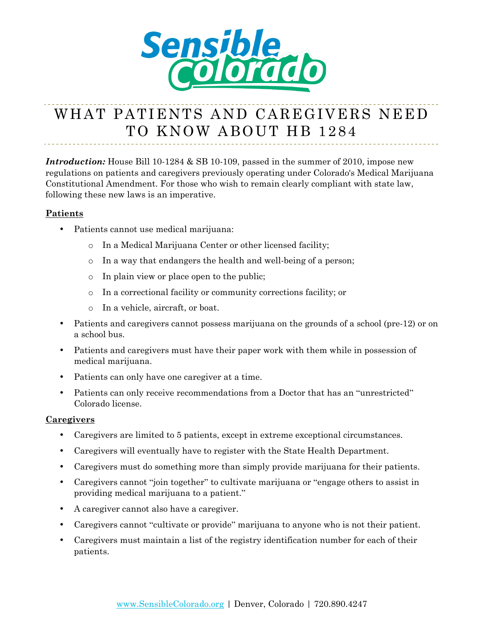

## WHAT PATIENTS AND CAREGIVERS NEED TO KNOW ABOUT HB 1284

*Introduction:* House Bill 10-1284 & SB 10-109, passed in the summer of 2010, impose new regulations on patients and caregivers previously operating under Colorado's Medical Marijuana Constitutional Amendment. For those who wish to remain clearly compliant with state law, following these new laws is an imperative.

## **Patients**

- Patients cannot use medical marijuana:
	- o In a Medical Marijuana Center or other licensed facility;
	- o In a way that endangers the health and well-being of a person;
	- o In plain view or place open to the public;
	- o In a correctional facility or community corrections facility; or
	- o In a vehicle, aircraft, or boat.
- Patients and caregivers cannot possess marijuana on the grounds of a school (pre-12) or on a school bus.
- Patients and caregivers must have their paper work with them while in possession of medical marijuana.
- Patients can only have one caregiver at a time.
- Patients can only receive recommendations from a Doctor that has an "unrestricted" Colorado license.

## **Caregivers**

- Caregivers are limited to 5 patients, except in extreme exceptional circumstances.
- Caregivers will eventually have to register with the State Health Department.
- Caregivers must do something more than simply provide marijuana for their patients.
- Caregivers cannot "join together" to cultivate marijuana or "engage others to assist in providing medical marijuana to a patient."
- A caregiver cannot also have a caregiver.
- Caregivers cannot "cultivate or provide" marijuana to anyone who is not their patient.
- Caregivers must maintain a list of the registry identification number for each of their patients.